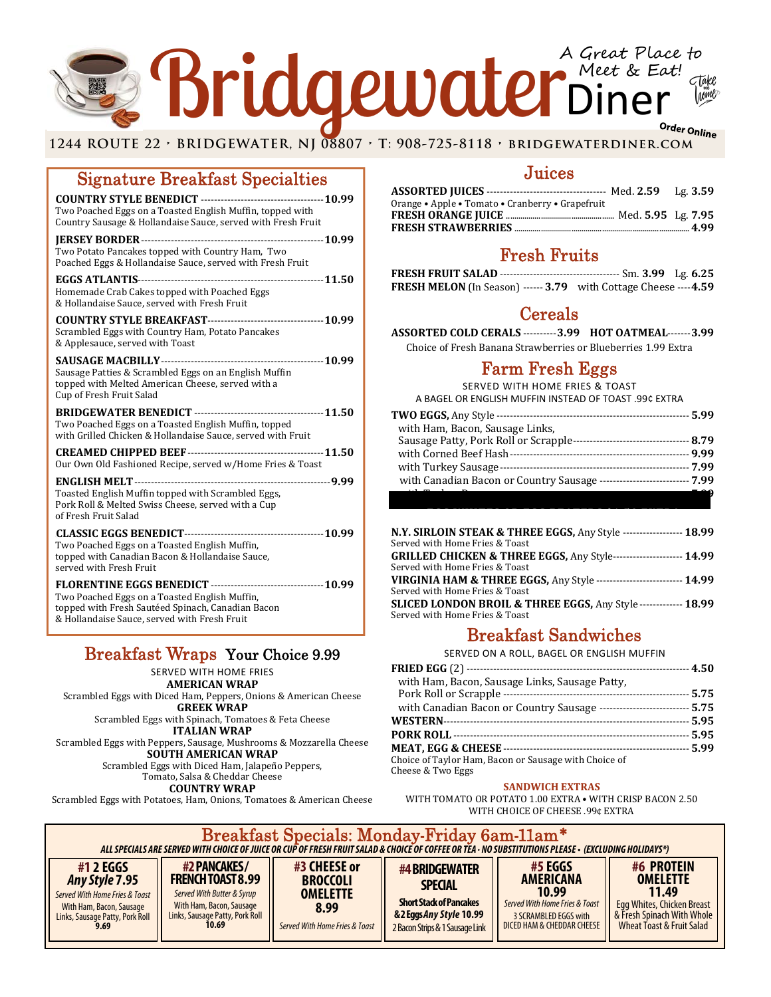## Teer Online Control Control Control Control Control Control Control Control Control Control Control Control Control Control Control Control Control Control Control Control Control Control Control Control Control Control Co Bridgewater Meet & Ear A Great Place to Meet & Eat!

### Signature Breakfast Specialties

| Two Poached Eggs on a Toasted English Muffin, topped with<br>Country Sausage & Hollandaise Sauce, served with Fresh Fruit                                                                                               |
|-------------------------------------------------------------------------------------------------------------------------------------------------------------------------------------------------------------------------|
| Two Potato Pancakes topped with Country Ham, Two<br>Poached Eggs & Hollandaise Sauce, served with Fresh Fruit                                                                                                           |
| Homemade Crab Cakes topped with Poached Eggs<br>& Hollandaise Sauce, served with Fresh Fruit                                                                                                                            |
| Scrambled Eggs with Country Ham, Potato Pancakes<br>& Applesauce, served with Toast                                                                                                                                     |
| Sausage Patties & Scrambled Eggs on an English Muffin<br>topped with Melted American Cheese, served with a<br>Cup of Fresh Fruit Salad                                                                                  |
| Two Poached Eggs on a Toasted English Muffin, topped<br>with Grilled Chicken & Hollandaise Sauce, served with Fruit                                                                                                     |
| Our Own Old Fashioned Recipe, served w/Home Fries & Toast                                                                                                                                                               |
| Toasted English Muffin topped with Scrambled Eggs,<br>Pork Roll & Melted Swiss Cheese, served with a Cup<br>of Fresh Fruit Salad                                                                                        |
| Two Poached Eggs on a Toasted English Muffin,<br>topped with Canadian Bacon & Hollandaise Sauce,<br>served with Fresh Fruit                                                                                             |
| FLORENTINE EGGS BENEDICT -----------------------------------10.99<br>Two Poached Eggs on a Toasted English Muffin,<br>topped with Fresh Sautéed Spinach, Canadian Bacon<br>& Hollandaise Sauce, served with Fresh Fruit |

## Breakfast Wraps Your Choice 9.99

SERVED WITH HOME FRIES

**AMERICAN WRAP** Scrambled Eggs with Diced Ham, Peppers, Onions & American Cheese **GREEK WRAP**

Scrambled Eggs with Spinach, Tomatoes & Feta Cheese **ITALIAN WRAP**

Scrambled Eggs with Peppers, Sausage, Mushrooms & Mozzarella Cheese **SOUTH AMERICAN WRAP**

Scrambled Eggs with Diced Ham, Jalapeño Peppers, Tomato, Salsa & Cheddar Cheese

**COUNTRY WRAP**

Scrambled Eggs with Potatoes, Ham, Onions, Tomatoes & American Cheese

## Juices

| Orange • Apple • Tomato • Cranberry • Grapefruit |  |
|--------------------------------------------------|--|
|                                                  |  |
|                                                  |  |
|                                                  |  |

## Fresh Fruits

| <b>FRESH MELON</b> (In Season) ------ 3.79 with Cottage Cheese ---- 4.59 |  |
|--------------------------------------------------------------------------|--|

## **Cereals**

**ASSORTED COLD CERALS** ‐‐‐‐‐‐‐‐‐‐ **3.99 HOT OATMEAL**‐‐‐‐‐‐‐**3.99**

Choice of Fresh Banana Strawberries or Blueberries 1.99 Extra

## Farm Fresh Eggs

SERVED WITH HOME FRIES & TOAST A BAGEL OR ENGLISH MUFFIN INSTEAD OF TOAST .99¢ EXTRA

| with Ham, Bacon, Sausage Links,                                           |  |
|---------------------------------------------------------------------------|--|
|                                                                           |  |
|                                                                           |  |
|                                                                           |  |
| with Canadian Bacon or Country Sausage ----------------------------- 7.99 |  |
|                                                                           |  |
|                                                                           |  |

| N.Y. SIRLOIN STEAK & THREE EGGS, Any Style ------------------ 18.99             |  |
|---------------------------------------------------------------------------------|--|
| Served with Home Fries & Toast                                                  |  |
| <b>GRILLED CHICKEN &amp; THREE EGGS, Any Style-------------------- 14.99</b>    |  |
| Served with Home Fries & Toast                                                  |  |
| <b>VIRGINIA HAM &amp; THREE EGGS, Any Style ------------------------- 14.99</b> |  |
| Served with Home Fries & Toast                                                  |  |
| SLICED LONDON BROIL & THREE EGGS, Any Style ------------- 18.99                 |  |
| Served with Home Fries & Toast                                                  |  |
|                                                                                 |  |

 **EGG WHITES OR EGG BEATERS \$1.50 EXTRA**

## Breakfast Sandwiches

SERVED ON A ROLL, BAGEL OR ENGLISH MUFFIN

| with Ham, Bacon, Sausage Links, Sausage Patty,                            |  |
|---------------------------------------------------------------------------|--|
|                                                                           |  |
| with Canadian Bacon or Country Sausage ----------------------------- 5.75 |  |
|                                                                           |  |
|                                                                           |  |
|                                                                           |  |
| Choice of Taylor Ham, Bacon or Sausage with Choice of                     |  |
| Cheese & Two Eggs                                                         |  |

### **SANDWICH EXTRAS**

WITH TOMATO OR POTATO 1.00 EXTRA • WITH CRISP BACON 2.50 WITH CHOICE OF CHEESE .99¢ EXTRA

| Breakfast Specials: Monday-Friday 6am-11am*<br>ALL SPECIALS ARE SERVED WITH CHOICE OF JUICE OR CUP OF FRESH FRUIT SALAD & CHOICE OF COFFEE OR TEA • NO SUBSTITUTIONS PLEASE • (EXCLUDING HOLIDAYS*) |                                                                                                                                                |                                                                                              |                                                                                                                                  |                                                                                                                               |                                                                                                                                 |
|-----------------------------------------------------------------------------------------------------------------------------------------------------------------------------------------------------|------------------------------------------------------------------------------------------------------------------------------------------------|----------------------------------------------------------------------------------------------|----------------------------------------------------------------------------------------------------------------------------------|-------------------------------------------------------------------------------------------------------------------------------|---------------------------------------------------------------------------------------------------------------------------------|
| #1 2 EGGS<br><b>Any Style 7.95</b><br>Served With Home Fries & Toast<br>With Ham, Bacon, Sausage<br>Links, Sausage Patty, Pork Roll<br>9.69                                                         | #2 PANCAKES/<br><b>FRENCH TOAST 8.99</b><br>Served With Butter & Syrup<br>With Ham, Bacon, Sausage<br>Links, Sausage Patty, Pork Roll<br>10.69 | #3 CHEESE or<br><b>BROCCOLI</b><br><b>OMELETTE</b><br>8.99<br>Served With Home Fries & Toast | #4 BRIDGEWATER<br><b>SPECIAL</b><br><b>Short Stack of Pancakes</b><br>&2 Eggs Any Style 10.99<br>2 Bacon Strips & 1 Sausage Link | #5 EGGS<br><b>AMERICANA</b><br>10.99<br>Served With Home Fries & Toast<br>3 SCRAMBLED EGGS with<br>DICED HAM & CHEDDAR CHEESE | #6 PROTEIN<br><b>OMELETTE</b><br>11.49<br>Egg Whites, Chicken Breast<br>& Fresh Spinach With Whole<br>Wheat Toast & Fruit Salad |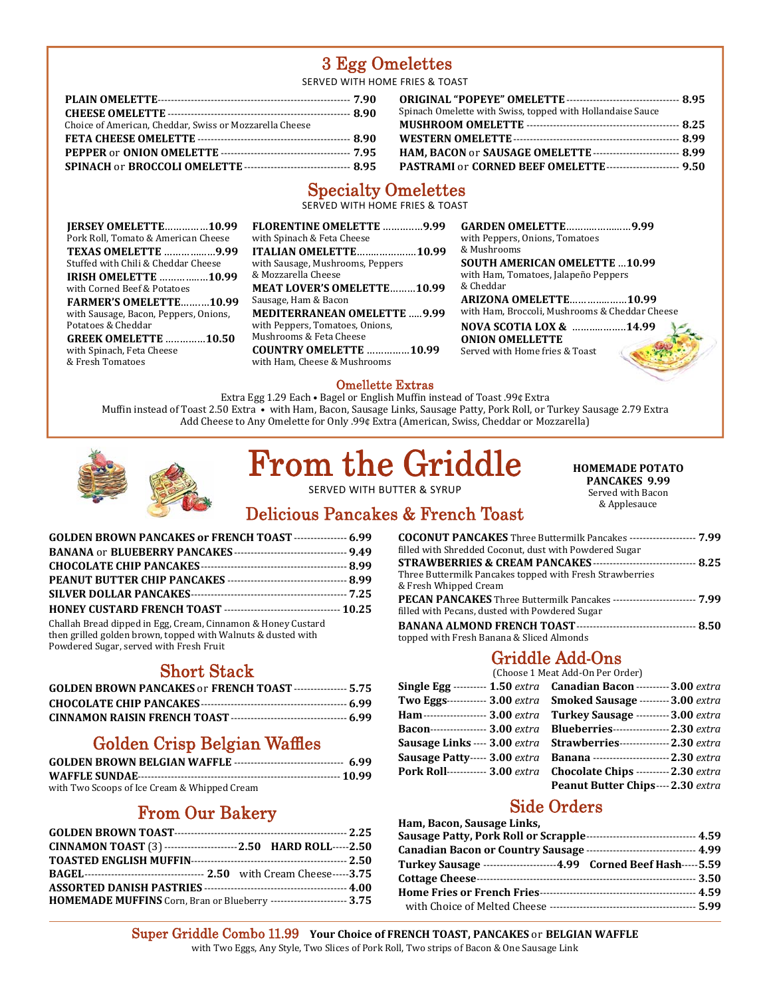## 3 Egg Omelettes

SERVED WITH HOME FRIES & TOAST

| Choice of American, Cheddar, Swiss or Mozzarella Cheese                   |  |
|---------------------------------------------------------------------------|--|
|                                                                           |  |
|                                                                           |  |
| <b>SPINACH or BROCCOLI OMELETTE -------------------------------- 8.95</b> |  |

| Spinach Omelette with Swiss, topped with Hollandaise Sauce         |  |
|--------------------------------------------------------------------|--|
|                                                                    |  |
|                                                                    |  |
| HAM, BACON or SAUSAGE OMELETTE -------------------------- 8.99     |  |
| <b>PASTRAMI or CORNED BEEF OMELETTE --------------------- 9.50</b> |  |

## Specialty Omelettes

SERVED WITH HOME FRIES & TOAST

| <b>JERSEY OMELETTE10.99</b>                                 |  |
|-------------------------------------------------------------|--|
| Pork Roll, Tomato & American Cheese                         |  |
| <b>TEXAS OMELETTE 9.99</b>                                  |  |
| Stuffed with Chili & Cheddar Cheese                         |  |
| <b>IRISH OMELETTE 10.99</b>                                 |  |
| with Corned Beef & Potatoes                                 |  |
|                                                             |  |
| <b>FARMER'S OMELETTE10.99</b>                               |  |
| with Sausage, Bacon, Peppers, Onions,<br>Potatoes & Cheddar |  |

| <b>FLORENTINE OMELETTE 9.99</b><br>with Spinach & Feta Cheese    |
|------------------------------------------------------------------|
| <b>ITALIAN OMELETTE10.99</b><br>with Sausage, Mushrooms, Peppers |
| & Mozzarella Cheese<br><b>MEAT LOVER'S OMELETTE10.99</b>         |
| Sausage, Ham & Bacon<br><b>MEDITERRANEAN OMELETTE 9.99</b>       |
| with Peppers, Tomatoes, Onions,<br>Mushrooms & Feta Cheese       |
| <b>COUNTRY OMELETTE 10.99</b><br>with Ham. Cheese & Mushrooms    |
|                                                                  |

**GARDEN OMELETTE**………..……...…**9.99** with Peppers, Onions, Tomatoes & Mushrooms **SOUTH AMERICAN OMELETTE** …**10.99** with Ham, Tomatoes, Jalapeño Peppers & Cheddar **ARIZONA OMELETTE**…………..……**10.99** with Ham, Broccoli, Mushrooms & Cheddar Cheese

**NOVA SCOTIA LOX &** ………..……..**14.99**

**ONION OMELLETTE** Served with Home fries & Toast



### Omellette Extras

Extra Egg 1.29 Each • Bagel or English Muffin instead of Toast .99¢ Extra Muffin instead of Toast 2.50 Extra  $\bullet$  with Ham, Bacon, Sausage Links, Sausage Patty, Pork Roll, or Turkey Sausage 2.79 Extra Add Cheese to Any Omelette for Only .99¢ Extra (American, Swiss, Cheddar or Mozzarella)



# From the Griddle

SERVED WITH BUTTER & SYRUP

**HOMEMADE POTATO PANCAKES 9.99**

Served with Bacon & Applesauce 

## Delicious Pancakes & French Toast

| GOLDEN BROWN PANCAKES or FRENCH TOAST ---------------- 6.99                                                                                                             |  |
|-------------------------------------------------------------------------------------------------------------------------------------------------------------------------|--|
| <b>BANANA or BLUEBERRY PANCAKES</b> ----------------------------------- 9.49                                                                                            |  |
|                                                                                                                                                                         |  |
|                                                                                                                                                                         |  |
|                                                                                                                                                                         |  |
|                                                                                                                                                                         |  |
| Challah Bread dipped in Egg, Cream, Cinnamon & Honey Custard<br>then grilled golden brown, topped with Walnuts & dusted with<br>Powdered Sugar, served with Fresh Fruit |  |

## Short Stack

| <b>GOLDEN BROWN PANCAKES or FRENCH TOAST ---------------- 5.75</b> |  |
|--------------------------------------------------------------------|--|
|                                                                    |  |
|                                                                    |  |

## Golden Crisp Belgian Waffles

| with Two Scoops of Ice Cream & Whipped Cream |  |
|----------------------------------------------|--|

## From Our Bakery

|  | CINNAMON TOAST (3) -----------------------2.50 HARD ROLL-----2.50<br>HOMEMADE MUFFINS Corn, Bran or Blueberry ----------------------- 3.75 |
|--|--------------------------------------------------------------------------------------------------------------------------------------------|

| COCONUT PANCAKES Three Buttermilk Pancakes -------------------- 7.99          |  |
|-------------------------------------------------------------------------------|--|
| filled with Shredded Coconut, dust with Powdered Sugar                        |  |
|                                                                               |  |
| Three Buttermilk Pancakes topped with Fresh Strawberries                      |  |
| & Fresh Whipped Cream                                                         |  |
| <b>PECAN PANCAKES</b> Three Buttermilk Pancakes ------------------------ 7.99 |  |
| filled with Pecans, dusted with Powdered Sugar                                |  |
|                                                                               |  |
| topped with Fresh Banana & Sliced Almonds                                     |  |

## Griddle Add-Ons

|                               | (Choose 1 Meat Add-On Per Order)                                          |
|-------------------------------|---------------------------------------------------------------------------|
|                               | Single Egg  1.50 extra Canadian Bacon  3.00 extra                         |
|                               | Two Eggs------------ 3.00 extra Smoked Sausage --------- 3.00 extra       |
|                               | Ham ------------------ 3.00 extra Turkey Sausage ----------3.00 extra     |
|                               | Bacon----------------- 3.00 extra Blueberries------------------2.30 extra |
|                               | Sausage Links ---- 3.00 extra Strawberries---------------- 2.30 extra     |
| Sausage Patty----- 3.00 extra | <b>Banana</b> ------------------------2.30 extra                          |
|                               | Pork Roll----------- 3.00 extra Chocolate Chips ----------2.30 extra      |
|                               | Peanut Butter Chips---- 2.30 extra                                        |

## Side Orders

| Ham, Bacon, Sausage Links,                                                  |  |
|-----------------------------------------------------------------------------|--|
|                                                                             |  |
|                                                                             |  |
| Turkey Sausage ----------------------4.99         Corned Beef Hash-----5.59 |  |
|                                                                             |  |
|                                                                             |  |
|                                                                             |  |

**Super Griddle Combo 11.99 Your Choice of FRENCH TOAST, PANCAKES or BELGIAN WAFFLE** with Two Eggs, Any Style, Two Slices of Pork Roll, Two strips of Bacon & One Sausage Link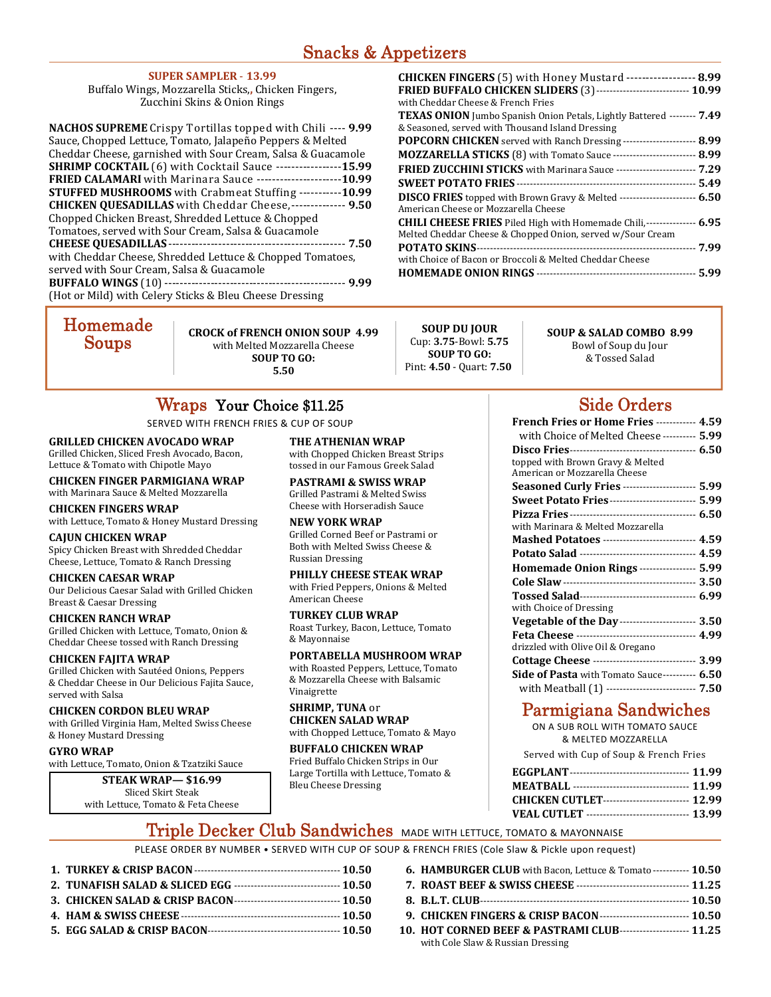### **SUPER SAMPLER** ‐ **13.99**

Buffalo Wings, Mozzarella Sticks,**,** Chicken Fingers, Zucchini Skins & Onion Rings

| <b>NACHOS SUPREME</b> Crispy Tortillas topped with Chili ---- 9.99     |
|------------------------------------------------------------------------|
| Sauce, Chopped Lettuce, Tomato, Jalapeño Peppers & Melted              |
| Cheddar Cheese, garnished with Sour Cream, Salsa & Guacamole           |
| <b>SHRIMP COCKTAIL</b> (6) with Cocktail Sauce ------------------15.99 |
| <b>FRIED CALAMARI</b> with Marinara Sauce ---------------------10.99   |
| <b>STUFFED MUSHROOMS</b> with Crabmeat Stuffing -----------10.99       |
| <b>CHICKEN QUESADILLAS</b> with Cheddar Cheese,-------------- 9.50     |
| Chopped Chicken Breast, Shredded Lettuce & Chopped                     |
| Tomatoes, served with Sour Cream, Salsa & Guacamole                    |
| <b>CHEESE QUESADILLAS-</b>                                             |
| with Cheddar Cheese, Shredded Lettuce & Chopped Tomatoes,              |
| served with Sour Cream, Salsa & Guacamole                              |
|                                                                        |
| (Hot or Mild) with Celery Sticks & Bleu Cheese Dressing                |
|                                                                        |

| ${\bf Home made}$ |  |
|-------------------|--|
| Soups             |  |

**CROCK of FRENCH ONION SOUP 4.99** with Melted Mozzarella Cheese **SOUP TO GO: 5.50**

#### **SOUP DU JOUR** Cup: **3.75**‐Bowl: **5.75 SOUP TO GO:**  Pint: **4.50** ‐ Quart: **7.50**

#### **CHICKEN FINGERS** (5) with Honey Mustard ‐‐‐‐‐‐‐‐‐‐‐‐‐‐‐‐‐‐ **8.99 FRIED BUFFALO CHICKEN SLIDERS** (3) ‐‐‐‐‐‐‐‐‐‐‐‐‐‐‐‐‐‐‐‐‐‐‐‐‐‐‐‐ **10.99** with Cheddar Cheese & French Fries **TEXAS ONION** Jumbo Spanish Onion Petals, Lightly Battered -------- 7.49 & Seasoned, served with Thousand Island Dressing **POPCORN CHICKEN** served with Ranch Dressing ----------------------- 8.99 **MOZZARELLA STICKS** (8) with Tomato Sauce -------------------------- 8.99 **FRIED ZUCCHINI STICKS** with Marinara Sauce ------------------------- 7.29 **SWEET POTATO FRIES** ‐‐‐‐‐‐‐‐‐‐‐‐‐‐‐‐‐‐‐‐‐‐‐‐‐‐‐‐‐‐‐‐‐‐‐‐‐‐‐‐‐‐‐‐‐‐‐‐‐‐‐‐‐‐ **5.49 DISCO FRIES** topped with Brown Gravy & Melted ------------------------ 6.50 American Cheese or Mozzarella Cheese **CHILI CHEESE FRIES** Piled High with Homemade Chili, ‐‐‐‐‐‐‐‐‐‐‐‐‐‐‐ **6.95** Melted Cheddar Cheese & Chopped Onion, served w/Sour Cream **POTATO SKINS** ‐‐‐‐‐‐‐‐‐‐‐‐‐‐‐‐‐‐‐‐‐‐‐‐‐‐‐‐‐‐‐‐‐‐‐‐‐‐‐‐‐‐‐‐‐‐‐‐‐‐‐‐‐‐‐‐‐‐‐‐‐‐‐‐‐‐ **7.99** with Choice of Bacon or Broccoli & Melted Cheddar Cheese **HOMEMADE ONION RINGS** ‐‐‐‐‐‐‐‐‐‐‐‐‐‐‐‐‐‐‐‐‐‐‐‐‐‐‐‐‐‐‐‐‐‐‐‐‐‐‐‐‐‐‐‐‐‐‐‐ **5.99**

### **SOUP & SALAD COMBO 8.99**

Bowl of Soup du Jour & Tossed Salad 

## Wraps Your Choice \$11.25

SERVED WITH FRENCH FRIES & CUP OF SOUP

### **GRILLED CHICKEN AVOCADO WRAP**

Grilled Chicken, Sliced Fresh Avocado, Bacon, Lettuce & Tomato with Chipotle Mayo

**CHICKEN FINGER PARMIGIANA WRAP** with Marinara Sauce & Melted Mozzarella

### **CHICKEN FINGERS WRAP**

with Lettuce, Tomato & Honey Mustard Dressing

#### **CAJUN CHICKEN WRAP**

Spicy Chicken Breast with Shredded Cheddar Cheese, Lettuce, Tomato & Ranch Dressing

### **CHICKEN CAESAR WRAP**

Our Delicious Caesar Salad with Grilled Chicken Breast & Caesar Dressing 

### **CHICKEN RANCH WRAP**

Grilled Chicken with Lettuce, Tomato, Onion & Cheddar Cheese tossed with Ranch Dressing

### **CHICKEN FAJITA WRAP**

Grilled Chicken with Sautéed Onions, Peppers & Cheddar Cheese in Our Delicious Fajita Sauce, served with Salsa

#### **CHICKEN CORDON BLEU WRAP** with Grilled Virginia Ham, Melted Swiss Cheese & Honey Mustard Dressing

### **GYRO WRAP**

Ĩ.

with Lettuce, Tomato, Onion & Tzatziki Sauce

**STEAK WRAP— \$16.99** Sliced Skirt Steak with Lettuce, Tomato & Feta Cheese **THE ATHENIAN WRAP** with Chopped Chicken Breast Strips tossed in our Famous Greek Salad

**PASTRAMI & SWISS WRAP** Grilled Pastrami & Melted Swiss Cheese with Horseradish Sauce

### **NEW YORK WRAP**

Grilled Corned Beef or Pastrami or Both with Melted Swiss Cheese & Russian Dressing 

#### **PHILLY CHEESE STEAK WRAP** with Fried Peppers, Onions & Melted American Cheese

**TURKEY CLUB WRAP** Roast Turkey, Bacon, Lettuce, Tomato & Mayonnaise 

### **PORTABELLA MUSHROOM WRAP**

with Roasted Peppers, Lettuce, Tomato & Mozzarella Cheese with Balsamic Vinaigrette 

#### **SHRIMP, TUNA** or **CHICKEN SALAD WRAP** with Chopped Lettuce, Tomato & Mayo

**BUFFALO CHICKEN WRAP** Fried Buffalo Chicken Strips in Our Large Tortilla with Lettuce, Tomato & Bleu Cheese Dressing 

## Side Orders

| French Fries or Home Fries ----------- 4.59                       |  |
|-------------------------------------------------------------------|--|
| with Choice of Melted Cheese ---------- 5.99                      |  |
|                                                                   |  |
| topped with Brown Gravy & Melted<br>American or Mozzarella Cheese |  |
| <b>Seasoned Curly Fries --------------------- 5.99</b>            |  |
| <b>Sweet Potato Fries ------------------------- 5.99</b>          |  |
|                                                                   |  |
| with Marinara & Melted Mozzarella                                 |  |
| Mashed Potatoes --------------------------- 4.59                  |  |
|                                                                   |  |
| Homemade Onion Rings ---------------- 5.99                        |  |
|                                                                   |  |
|                                                                   |  |
|                                                                   |  |
| with Choice of Dressing                                           |  |
| Vegetable of the Day ----------------------- 3.50                 |  |
|                                                                   |  |
| drizzled with Olive Oil & Oregano                                 |  |
| Cottage Cheese ------------------------------ 3.99                |  |
| <b>Side of Pasta</b> with Tomato Sauce---------- 6.50             |  |
| with Meatball (1) -------------------------- 7.50                 |  |

## Parmigiana Sandwiches

 ON A SUB ROLL WITH TOMATO SAUCE & MELTED MOZZARELLA

Served with Cup of Soup & French Fries

| MEATBALL ---------------------------------- 11.99 |  |
|---------------------------------------------------|--|
| CHICKEN CUTLET------------------------- 12.99     |  |
| VEAL CUTLET ------------------------------ 13.99  |  |

## Triple Decker Club Sandwiches MADE WITH LETTUCE, TOMATO & MAYONNAISE

PLEASE ORDER BY NUMBER • SERVED WITH CUP OF SOUP & FRENCH FRIES (Cole Slaw & Pickle upon request)

| 3. CHICKEN SALAD & CRISP BACON--------------------------------- 10.50 |  |
|-----------------------------------------------------------------------|--|
|                                                                       |  |
|                                                                       |  |

| <b>6. HAMBURGER CLUB</b> with Bacon, Lettuce & Tomato ----------- <b>10.50</b>                     |  |
|----------------------------------------------------------------------------------------------------|--|
|                                                                                                    |  |
|                                                                                                    |  |
| 9. CHICKEN FINGERS & CRISP BACON ---------------------------- 10.50                                |  |
| 10. HOT CORNED BEEF & PASTRAMI CLUB-------------------- 11.25<br>with Cole Slaw & Russian Dressing |  |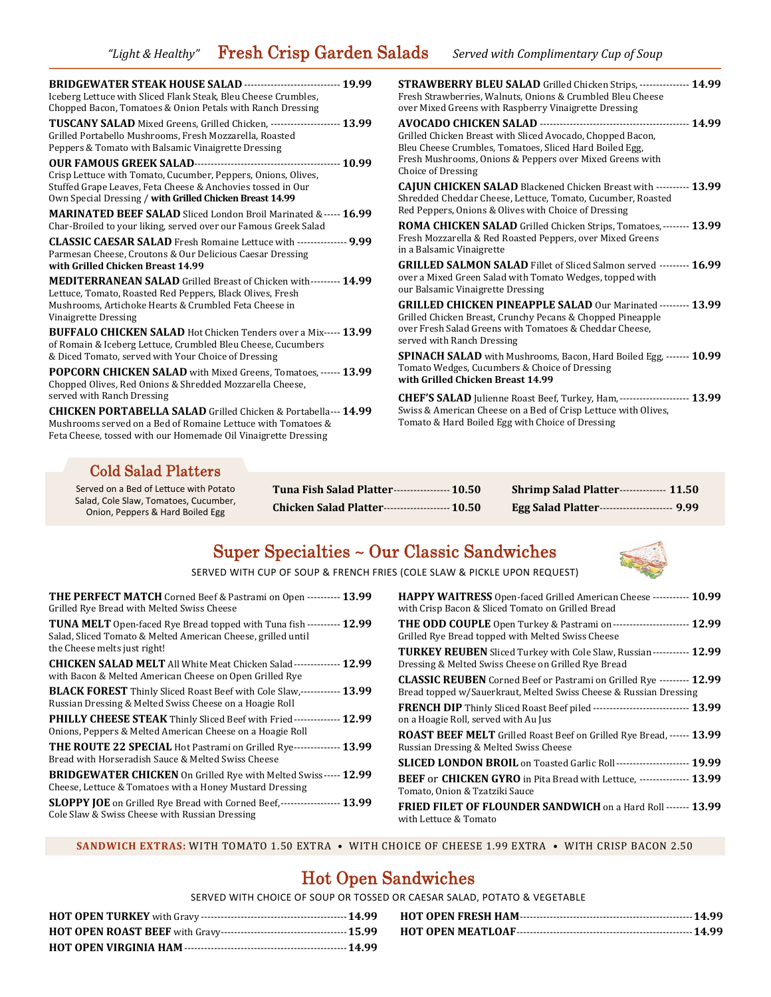| <b>BRIDGEWATER STEAK HOUSE SALAD ------------------------------- 19.99</b>                                                                                                                                                                                                                                                                                                                                                                                                                           | <b>STRAWBERRY BLEU SALAD</b> Grilled Chicken Strips, --------------- 14.99<br>Fresh Strawberries, Walnuts, Onions & Crumbled Bleu Cheese<br>over Mixed Greens with Raspberry Vinaigrette Dressing                           |
|------------------------------------------------------------------------------------------------------------------------------------------------------------------------------------------------------------------------------------------------------------------------------------------------------------------------------------------------------------------------------------------------------------------------------------------------------------------------------------------------------|-----------------------------------------------------------------------------------------------------------------------------------------------------------------------------------------------------------------------------|
| <b>TUSCANY SALAD</b> Mixed Greens, Grilled Chicken, -------------------- 13.99                                                                                                                                                                                                                                                                                                                                                                                                                       | Grilled Chicken Breast with Sliced Avocado, Chopped Bacon,<br>Bleu Cheese Crumbles, Tomatoes, Sliced Hard Boiled Egg,<br>Fresh Mushrooms, Onions & Peppers over Mixed Greens with<br>Choice of Dressing                     |
|                                                                                                                                                                                                                                                                                                                                                                                                                                                                                                      | <b>CAJUN CHICKEN SALAD</b> Blackened Chicken Breast with ---------- 13.99<br>Shredded Cheddar Cheese, Lettuce, Tomato, Cucumber, Roasted<br>Red Peppers, Onions & Olives with Choice of Dressing                            |
| <b>CLASSIC CAESAR SALAD</b> Fresh Romaine Lettuce with --------------- 9.99                                                                                                                                                                                                                                                                                                                                                                                                                          | <b>ROMA CHICKEN SALAD</b> Grilled Chicken Strips, Tomatoes, -------- 13.99<br>Fresh Mozzarella & Red Roasted Peppers, over Mixed Greens<br>in a Balsamic Vinaigrette                                                        |
| <b>MEDITERRANEAN SALAD</b> Grilled Breast of Chicken with--------- 14.99                                                                                                                                                                                                                                                                                                                                                                                                                             | <b>GRILLED SALMON SALAD</b> Fillet of Sliced Salmon served --------- <b>16.99</b><br>over a Mixed Green Salad with Tomato Wedges, topped with<br>our Balsamic Vinaigrette Dressing                                          |
| <b>BUFFALO CHICKEN SALAD</b> Hot Chicken Tenders over a Mix----- 13.99                                                                                                                                                                                                                                                                                                                                                                                                                               | <b>GRILLED CHICKEN PINEAPPLE SALAD Our Marinated --------- 13.99</b><br>Grilled Chicken Breast, Crunchy Pecans & Chopped Pineapple<br>over Fresh Salad Greens with Tomatoes & Cheddar Cheese,<br>served with Ranch Dressing |
| <b>POPCORN CHICKEN SALAD</b> with Mixed Greens, Tomatoes, ------ 13.99                                                                                                                                                                                                                                                                                                                                                                                                                               | SPINACH SALAD with Mushrooms, Bacon, Hard Boiled Egg, ------- 10.99<br>Tomato Wedges, Cucumbers & Choice of Dressing<br>with Grilled Chicken Breast 14.99                                                                   |
| Chopped Olives, Red Onions & Shredded Mozzarella Cheese,<br>served with Ranch Dressing<br>CHEF'S SALAD Julienne Roast Beef, Turkey, Ham, --------------------- 13.99<br>Swiss & American Cheese on a Bed of Crisp Lettuce with Olives,<br><b>CHICKEN PORTABELLA SALAD</b> Grilled Chicken & Portabella---14.99<br>Tomato & Hard Boiled Egg with Choice of Dressing<br>Mushrooms served on a Bed of Romaine Lettuce with Tomatoes &<br>Feta Cheese, tossed with our Homemade Oil Vinaigrette Dressing |                                                                                                                                                                                                                             |
|                                                                                                                                                                                                                                                                                                                                                                                                                                                                                                      | <b>MARINATED BEEF SALAD</b> Sliced London Broil Marinated &----- 16.99                                                                                                                                                      |

### Cold Salad Platters

Served on a Bed of Lettuce with Potato Salad, Cole Slaw, Tomatoes, Cucumber, Onion, Peppers & Hard Boiled Egg

**Tuna Fish Salad Platter** ‐‐‐‐‐‐‐‐‐‐‐‐‐‐‐‐‐ **10.50 Chicken Salad Platter** ‐‐‐‐‐‐‐‐‐‐‐‐‐‐‐‐‐‐‐‐ **10.50**

| Shrimp Salad Platter-------------- 11.50           |
|----------------------------------------------------|
| <b>Egg Salad Platter--------------------- 9.99</b> |

## Super Specialties ~ Our Classic Sandwiches



SERVED WITH CUP OF SOUP & FRENCH FRIES (COLE SLAW & PICKLE UPON REQUEST)

| <b>THE PERFECT MATCH</b> Corned Beef & Pastrami on Open ---------- 13.99<br>Grilled Rye Bread with Melted Swiss Cheese                                                              |
|-------------------------------------------------------------------------------------------------------------------------------------------------------------------------------------|
| <b>TUNA MELT</b> Open-faced Rye Bread topped with Tuna fish ---------- <b>12.99</b><br>Salad, Sliced Tomato & Melted American Cheese, grilled until<br>the Cheese melts just right! |
| <b>CHICKEN SALAD MELT</b> All White Meat Chicken Salad-------------- 12.99<br>with Bacon & Melted American Cheese on Open Grilled Rye                                               |
| <b>BLACK FOREST</b> Thinly Sliced Roast Beef with Cole Slaw,------------ 13.99<br>Russian Dressing & Melted Swiss Cheese on a Hoagie Roll                                           |
| <b>PHILLY CHEESE STEAK</b> Thinly Sliced Beef with Fried- <b>------------- 12.99</b><br>Onions, Peppers & Melted American Cheese on a Hoagie Roll                                   |
| <b>THE ROUTE 22 SPECIAL Hot Pastrami on Grilled Rye-------------- 13.99</b><br>Bread with Horseradish Sauce & Melted Swiss Cheese                                                   |
| <b>BRIDGEWATER CHICKEN</b> On Grilled Rye with Melted Swiss----- <b>12.99</b><br>Cheese, Lettuce & Tomatoes with a Honey Mustard Dressing                                           |
| <b>SLOPPY JOE</b> on Grilled Rye Bread with Corned Beef,------------------ 13.99<br>Cole Slaw & Swiss Cheese with Russian Dressing                                                  |

| <b>HAPPY WAITRESS</b> Open-faced Grilled American Cheese ----------- 10.99<br>with Crisp Bacon & Sliced Tomato on Grilled Bread                   |
|---------------------------------------------------------------------------------------------------------------------------------------------------|
| <b>THE ODD COUPLE</b> Open Turkey & Pastrami on ------------------------ 12.99<br>Grilled Rye Bread topped with Melted Swiss Cheese               |
| <b>TURKEY REUBEN</b> Sliced Turkey with Cole Slaw, Russian ----------- 12.99<br>Dressing & Melted Swiss Cheese on Grilled Rye Bread               |
| <b>CLASSIC REUBEN</b> Corned Beef or Pastrami on Grilled Rye --------- 12.99<br>Bread topped w/Sauerkraut, Melted Swiss Cheese & Russian Dressing |
| FRENCH DIP Thinly Sliced Roast Beef piled ----------------------------- 13.99<br>on a Hoagie Roll, served with Au Jus                             |
| <b>ROAST BEEF MELT</b> Grilled Roast Beef on Grilled Rye Bread, ------ 13.99<br>Russian Dressing & Melted Swiss Cheese                            |
| <b>SLICED LONDON BROIL</b> on Toasted Garlic Roll --------------------- 19.99                                                                     |
| BEEF or CHICKEN GYRO in Pita Bread with Lettuce, --------------- 13.99<br>Tomato, Onion & Tzatziki Sauce                                          |
| <b>FRIED FILET OF FLOUNDER SANDWICH on a Hard Roll ------- 13.99</b><br>with Lettuce & Tomato                                                     |
|                                                                                                                                                   |

SANDWICH EXTRAS: WITH TOMATO 1.50 EXTRA · WITH CHOICE OF CHEESE 1.99 EXTRA · WITH CRISP BACON 2.50

## Hot Open Sandwiches

SERVED WITH CHOICE OF SOUP OR TOSSED OR CAESAR SALAD, POTATO & VEGETABLE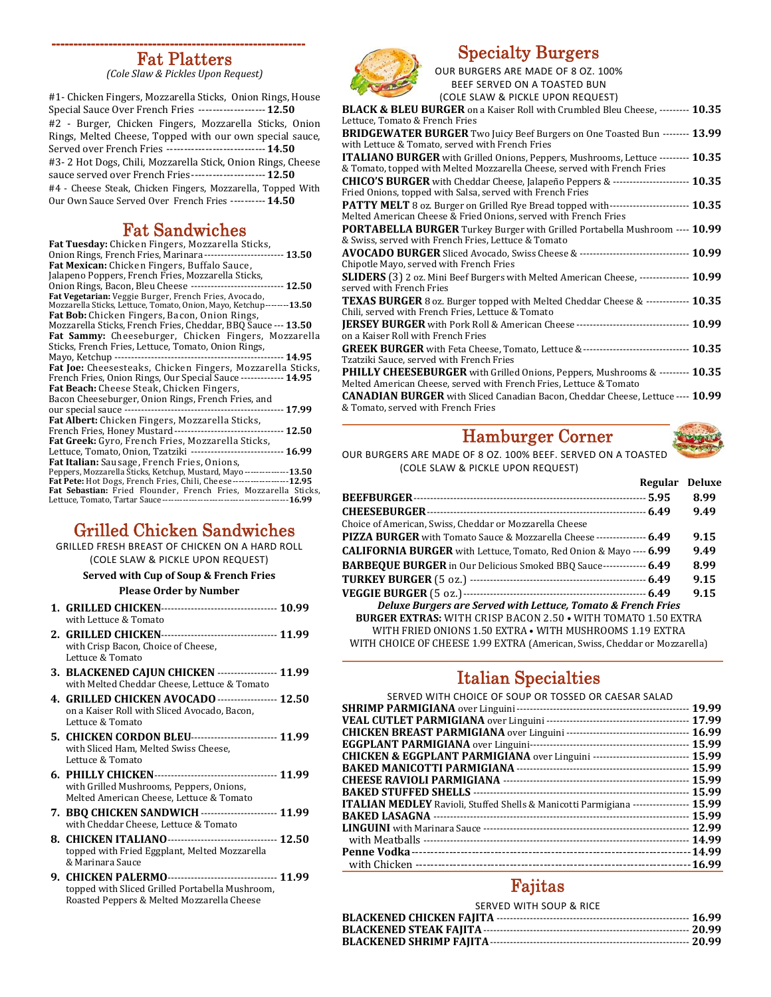## Fat Platters

*(Cole Slaw & Pickles Upon Request)* 

#1- Chicken Fingers, Mozzarella Sticks, Onion Rings, House Special Sauce Over French Fries ------------------- 12.50 #2 - Burger, Chicken Fingers, Mozzarella Sticks, Onion Rings, Melted Cheese, Topped with our own special sauce, Served over French Fries ----------------------------- 14.50 #3- 2 Hot Dogs, Chili, Mozzarella Stick, Onion Rings, Cheese sauce served over French Fries ---------------------- **12.50** #4 - Cheese Steak, Chicken Fingers, Mozzarella, Topped With Our Own Sauce Served Over French Fries ---------- 14.50

### Fat Sandwiches

| <b>Fat Tuesday:</b> Chicken Fingers, Mozzarella Sticks,                   |
|---------------------------------------------------------------------------|
| Onion Rings, French Fries, Marinara -------------------------- 13.50      |
| Fat Mexican: Chicken Fingers, Buffalo Sauce,                              |
| Jalapeno Poppers, French Fries, Mozzarella Sticks,                        |
| Onion Rings, Bacon, Bleu Cheese ----------------------------- 12.50       |
| Fat Vegetarian: Veggie Burger, French Fries, Avocado,                     |
| Mozzarella Sticks, Lettuce, Tomato, Onion, Mayo, Ketchup--------13.50     |
| Fat Bob: Chicken Fingers, Bacon, Onion Rings,                             |
| Mozzarella Sticks, French Fries, Cheddar, BBQ Sauce --- 13.50             |
| Fat Sammy: Cheeseburger, Chicken Fingers, Mozzarella                      |
| Sticks, French Fries, Lettuce, Tomato, Onion Rings,                       |
|                                                                           |
| Fat Joe: Cheesesteaks, Chicken Fingers, Mozzarella Sticks,                |
| French Fries, Onion Rings, Our Special Sauce ------------- 14.95          |
| <b>Fat Beach:</b> Cheese Steak, Chicken Fingers,                          |
| Bacon Cheeseburger, Onion Rings, French Fries, and                        |
|                                                                           |
| <b>Fat Albert:</b> Chicken Fingers, Mozzarella Sticks,                    |
| French Fries, Honey Mustard ---------------------------------- 12.50      |
| Fat Greek: Gyro, French Fries, Mozzarella Sticks,                         |
| Lettuce, Tomato, Onion, Tzatziki ----------------------------- 16.99      |
| <b>Fat Italian:</b> Sausage, French Fries, Onions,                        |
| Peppers, Mozzarella Sticks, Ketchup, Mustard, Mayo---------------13.50    |
| Fat Pete: Hot Dogs, French Fries, Chili, Cheese --------------------12.95 |
| Fat Sebastian: Fried Flounder, French Fries, Mozzarella Sticks,           |
|                                                                           |

## Grilled Chicken Sandwiches

GRILLED FRESH BREAST OF CHICKEN ON A HARD ROLL (COLE SLAW & PICKLE UPON REQUEST)

**Served with Cup of Soup & French Fries**

#### **Please Order by Number**

- **1. GRILLED CHICKEN** ‐‐‐‐‐‐‐‐‐‐‐‐‐‐‐‐‐‐‐‐‐‐‐‐‐‐‐‐‐‐‐‐‐‐‐ **10.99** with Lettuce & Tomato
- **2. GRILLED CHICKEN** ‐‐‐‐‐‐‐‐‐‐‐‐‐‐‐‐‐‐‐‐‐‐‐‐‐‐‐‐‐‐‐‐‐‐‐ **11.99** with Crisp Bacon, Choice of Cheese, Lettuce & Tomato
- **3. BLACKENED CAJUN CHICKEN** ‐‐‐‐‐‐‐‐‐‐‐‐‐‐‐‐‐‐ **11.99** with Melted Cheddar Cheese, Lettuce & Tomato
- **4. GRILLED CHICKEN AVOCADO** ‐‐‐‐‐‐‐‐‐‐‐‐‐‐‐‐‐‐ **12.50** on a Kaiser Roll with Sliced Avocado, Bacon, Lettuce & Tomato
- **5. CHICKEN CORDON BLEU** ‐‐‐‐‐‐‐‐‐‐‐‐‐‐‐‐‐‐‐‐‐‐‐‐‐‐ **11.99** with Sliced Ham, Melted Swiss Cheese, Lettuce & Tomato
- **6. PHILLY CHICKEN** ‐‐‐‐‐‐‐‐‐‐‐‐‐‐‐‐‐‐‐‐‐‐‐‐‐‐‐‐‐‐‐‐‐‐‐‐‐ **11.99** with Grilled Mushrooms, Peppers, Onions, Melted American Cheese, Lettuce & Tomato
- **7. BBQ CHICKEN SANDWICH** ‐‐‐‐‐‐‐‐‐‐‐‐‐‐‐‐‐‐‐‐‐‐‐ **11.99** with Cheddar Cheese, Lettuce & Tomato
- **8. CHICKEN ITALIANO** ‐‐‐‐‐‐‐‐‐‐‐‐‐‐‐‐‐‐‐‐‐‐‐‐‐‐‐‐‐‐‐‐‐ **12.50** topped with Fried Eggplant, Melted Mozzarella & Marinara Sauce
- **9. CHICKEN PALERMO** ‐‐‐‐‐‐‐‐‐‐‐‐‐‐‐‐‐‐‐‐‐‐‐‐‐‐‐‐‐‐‐‐‐ **11.99** topped with Sliced Grilled Portabella Mushroom, Roasted Peppers & Melted Mozzarella Cheese



### Specialty Burgers

OUR BURGERS ARE MADE OF 8 OZ. 100% BEEF SERVED ON A TOASTED BUN

| (COLE SLAW & PICKLE UPON REQUEST)                                                                                                                                          |  |
|----------------------------------------------------------------------------------------------------------------------------------------------------------------------------|--|
| <b>BLACK &amp; BLEU BURGER</b> on a Kaiser Roll with Crumbled Bleu Cheese, --------- 10.35                                                                                 |  |
| Lettuce, Tomato & French Fries                                                                                                                                             |  |
| <b>BRIDGEWATER BURGER</b> Two Juicy Beef Burgers on One Toasted Bun -------- 13.99<br>with Lettuce & Tomato, served with French Fries                                      |  |
| <b>ITALIANO BURGER</b> with Grilled Onions, Peppers, Mushrooms, Lettuce --------- <b>10.35</b><br>& Tomato, topped with Melted Mozzarella Cheese, served with French Fries |  |
| CHICO'S BURGER with Cheddar Cheese, Jalapeño Peppers & ------------------------ 10.35<br>Fried Onions, topped with Salsa, served with French Fries                         |  |
| PATTY MELT 8 oz. Burger on Grilled Rye Bread topped with------------------------ 10.35<br>Melted American Cheese & Fried Onions, served with French Fries                  |  |
| <b>PORTABELLA BURGER</b> Turkey Burger with Grilled Portabella Mushroom ---- 10.99<br>& Swiss, served with French Fries, Lettuce & Tomato                                  |  |
| Chipotle Mayo, served with French Fries                                                                                                                                    |  |
| SLIDERS (3) 2 oz. Mini Beef Burgers with Melted American Cheese, --------------- 10.99<br>served with French Fries                                                         |  |
| TEXAS BURGER 8 oz. Burger topped with Melted Cheddar Cheese & ------------- 10.35<br>Chili, served with French Fries, Lettuce & Tomato                                     |  |
| on a Kaiser Roll with French Fries                                                                                                                                         |  |
| GREEK BURGER with Feta Cheese, Tomato, Lettuce &-------------------------------- 10.35<br>Tzatziki Sauce, served with French Fries                                         |  |
| <b>PHILLY CHEESEBURGER</b> with Grilled Onions, Peppers, Mushrooms & --------- 10.35<br>Melted American Cheese, served with French Fries, Lettuce & Tomato                 |  |
| <b>CANADIAN BURGER</b> with Sliced Canadian Bacon, Cheddar Cheese, Lettuce ---- 10.99<br>& Tomato, served with French Fries                                                |  |

## Hamburger Corner



OUR BURGERS ARE MADE OF 8 OZ. 100% BEEF. SERVED ON A TOASTED (COLE SLAW & PICKLE UPON REQUEST)

|                                                                                | Regular Deluxe |      |
|--------------------------------------------------------------------------------|----------------|------|
|                                                                                |                | 8.99 |
|                                                                                |                | 9.49 |
| Choice of American, Swiss, Cheddar or Mozzarella Cheese                        |                |      |
| <b>PIZZA BURGER</b> with Tomato Sauce & Mozzarella Cheese --------------- 6.49 |                | 9.15 |
| <b>CALIFORNIA BURGER</b> with Lettuce, Tomato, Red Onion & Mayo ---- 6.99      |                | 9.49 |
| <b>BARBEQUE BURGER</b> in Our Delicious Smoked BBO Sauce------------- 6.49     |                | 8.99 |
|                                                                                |                | 9.15 |
|                                                                                |                | 9.15 |
| <b>Deluxe Burgers are Served with Lettuce, Tomato &amp; French Fries</b>       |                |      |
| <b>BURGER EXTRAS:</b> WITH CRISP BACON 2.50 • WITH TOMATO 1.50 EXTRA           |                |      |
| WITH FRIED ONIONS 1.50 EXTRA • WITH MUSHROOMS 1.19 EXTRA                       |                |      |
| WITH CHOICE OF CHEESE 1.99 EXTRA (American, Swiss, Cheddar or Mozzarella)      |                |      |

## Italian Specialties

| SERVED WITH CHOICE OF SOUP OR TOSSED OR CAESAR SALAD                                        |  |
|---------------------------------------------------------------------------------------------|--|
|                                                                                             |  |
|                                                                                             |  |
|                                                                                             |  |
|                                                                                             |  |
| <b>CHICKEN &amp; EGGPLANT PARMIGIANA</b> over Linguini ----------------------------- 15.99  |  |
|                                                                                             |  |
|                                                                                             |  |
|                                                                                             |  |
| <b>ITALIAN MEDLEY</b> Ravioli, Stuffed Shells & Manicotti Parmigiana ---------------- 15.99 |  |
|                                                                                             |  |
|                                                                                             |  |
|                                                                                             |  |
|                                                                                             |  |
|                                                                                             |  |

### Fajitas

| SERVED WITH SOUP & RICE |  |
|-------------------------|--|
|                         |  |
|                         |  |
|                         |  |
|                         |  |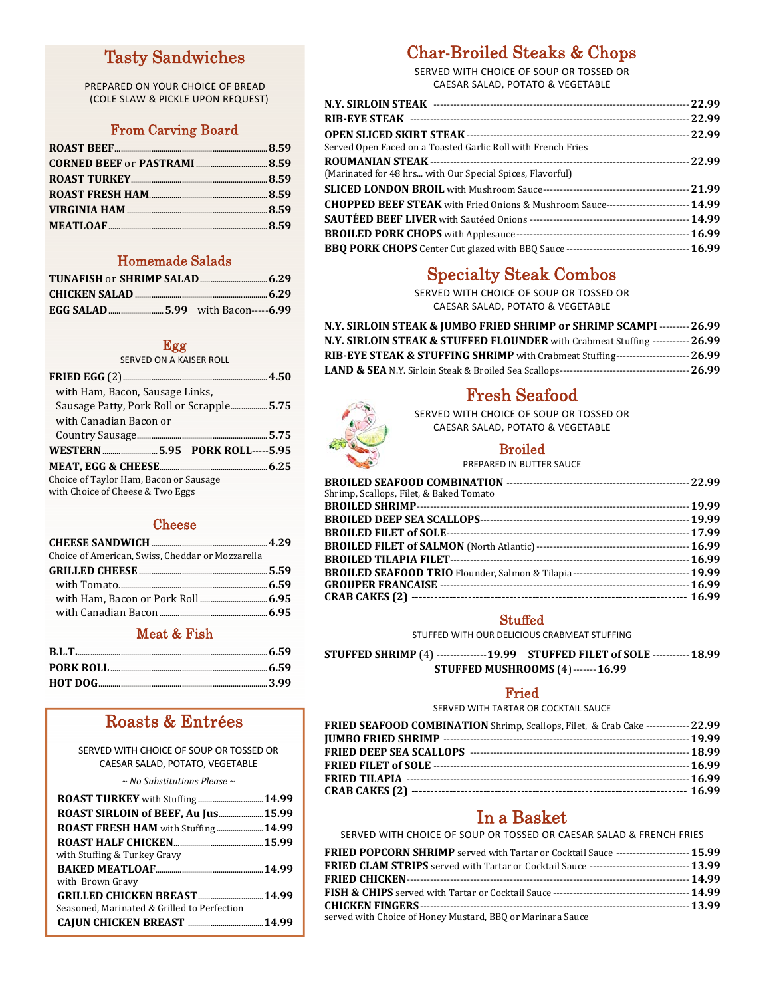## Tasty Sandwiches

PREPARED ON YOUR CHOICE OF BREAD (COLE SLAW & PICKLE UPON REQUEST)

### From Carving Board

### Homemade Salads

### Egg

SERVED ON A KAISER ROLL

| with Ham, Bacon, Sausage Links,          |  |  |
|------------------------------------------|--|--|
| Sausage Patty, Pork Roll or Scrapple5.75 |  |  |
| with Canadian Bacon or                   |  |  |
|                                          |  |  |
|                                          |  |  |
|                                          |  |  |
| Choice of Taylor Ham, Bacon or Sausage   |  |  |
| with Choice of Cheese & Two Eggs         |  |  |

### Cheese

| Choice of American, Swiss, Cheddar or Mozzarella |  |
|--------------------------------------------------|--|

### Meat & Fish

## Roasts & Entrées

SERVED WITH CHOICE OF SOUP OR TOSSED OR CAESAR SALAD, POTATO, VEGETABLE

*~ No Substitutions Please ~*

| ROAST SIRLOIN of BEEF, Au Jus15.99          |  |
|---------------------------------------------|--|
| <b>ROAST FRESH HAM</b> with Stuffing14.99   |  |
|                                             |  |
| with Stuffing & Turkey Gravy                |  |
|                                             |  |
| with Brown Gravy                            |  |
|                                             |  |
| Seasoned, Marinated & Grilled to Perfection |  |
|                                             |  |

## Char-Broiled Steaks & Chops

SERVED WITH CHOICE OF SOUP OR TOSSED OR CAESAR SALAD, POTATO & VEGETABLE

| Served Open Faced on a Toasted Garlic Roll with French Fries                         |  |
|--------------------------------------------------------------------------------------|--|
|                                                                                      |  |
| (Marinated for 48 hrs with Our Special Spices, Flavorful)                            |  |
|                                                                                      |  |
| CHOPPED BEEF STEAK with Fried Onions & Mushroom Sauce------------------------- 14.99 |  |
|                                                                                      |  |
|                                                                                      |  |
|                                                                                      |  |

## Specialty Steak Combos

SERVED WITH CHOICE OF SOUP OR TOSSED OR CAESAR SALAD, POTATO & VEGETABLE

| N.Y. SIRLOIN STEAK & JUMBO FRIED SHRIMP or SHRIMP SCAMPI --------- 26.99                      |  |
|-----------------------------------------------------------------------------------------------|--|
| N.Y. SIRLOIN STEAK & STUFFED FLOUNDER with Crabmeat Stuffing ----------- 26.99                |  |
| <b>RIB-EYE STEAK &amp; STUFFING SHRIMP</b> with Crabmeat Stuffing---------------------- 26.99 |  |
|                                                                                               |  |

## Fresh Seafood



### SERVED WITH CHOICE OF SOUP OR TOSSED OR CAESAR SALAD, POTATO & VEGETABLE

### **Broiled**

PREPARED IN BUTTER SAUCE

### **Stuffed**

STUFFED WITH OUR DELICIOUS CRABMEAT STUFFING

**STUFFED** SHRIMP<sup>(4)</sup> ---------------19.99 STUFFED FILET of SOLE -----------18.99 **STUFFED MUSHROOMS** (4) ------- **16.99** 

### Fried

SERVED WITH TARTAR OR COCKTAIL SAUCE

| <b>FRIED SEAFOOD COMBINATION</b> Shrimp, Scallops, Filet, & Crab Cake -------------22.99 |  |
|------------------------------------------------------------------------------------------|--|
|                                                                                          |  |
|                                                                                          |  |
|                                                                                          |  |
|                                                                                          |  |
|                                                                                          |  |

## In a Basket

SERVED WITH CHOICE OF SOUP OR TOSSED OR CAESAR SALAD & FRENCH FRIES

| <b>FRIED POPCORN SHRIMP</b> served with Tartar or Cocktail Sauce ---------------------- 15.99     |  |
|---------------------------------------------------------------------------------------------------|--|
| <b>FRIED CLAM STRIPS</b> served with Tartar or Cocktail Sauce ------------------------------13.99 |  |
|                                                                                                   |  |
|                                                                                                   |  |
|                                                                                                   |  |
| served with Choice of Honey Mustard, BBQ or Marinara Sauce                                        |  |